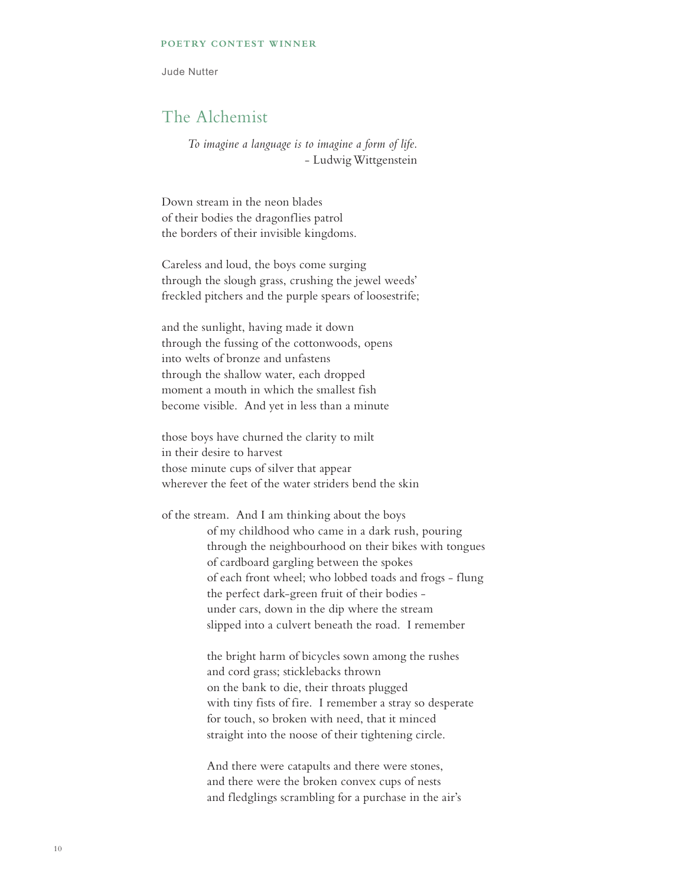## **POETRY CONTEST WINNER**

Jude Nutter

## The Alchemist

*To imagine a language is to imagine a form of life.* - Ludwig Wittgenstein

Down stream in the neon blades of their bodies the dragonflies patrol the borders of their invisible kingdoms.

Careless and loud, the boys come surging through the slough grass, crushing the jewel weeds' freckled pitchers and the purple spears of loosestrife;

and the sunlight, having made it down through the fussing of the cottonwoods, opens into welts of bronze and unfastens through the shallow water, each dropped moment a mouth in which the smallest fish become visible. And yet in less than a minute

those boys have churned the clarity to milt in their desire to harvest those minute cups of silver that appear wherever the feet of the water striders bend the skin

of the stream. And I am thinking about the boys of my childhood who came in a dark rush, pouring through the neighbourhood on their bikes with tongues of cardboard gargling between the spokes of each front wheel; who lobbed toads and frogs - flung the perfect dark-green fruit of their bodies under cars, down in the dip where the stream slipped into a culvert beneath the road. I remember

> the bright harm of bicycles sown among the rushes and cord grass; sticklebacks thrown on the bank to die, their throats plugged with tiny fists of fire. I remember a stray so desperate for touch, so broken with need, that it minced straight into the noose of their tightening circle.

And there were catapults and there were stones, and there were the broken convex cups of nests and fledglings scrambling for a purchase in the air's